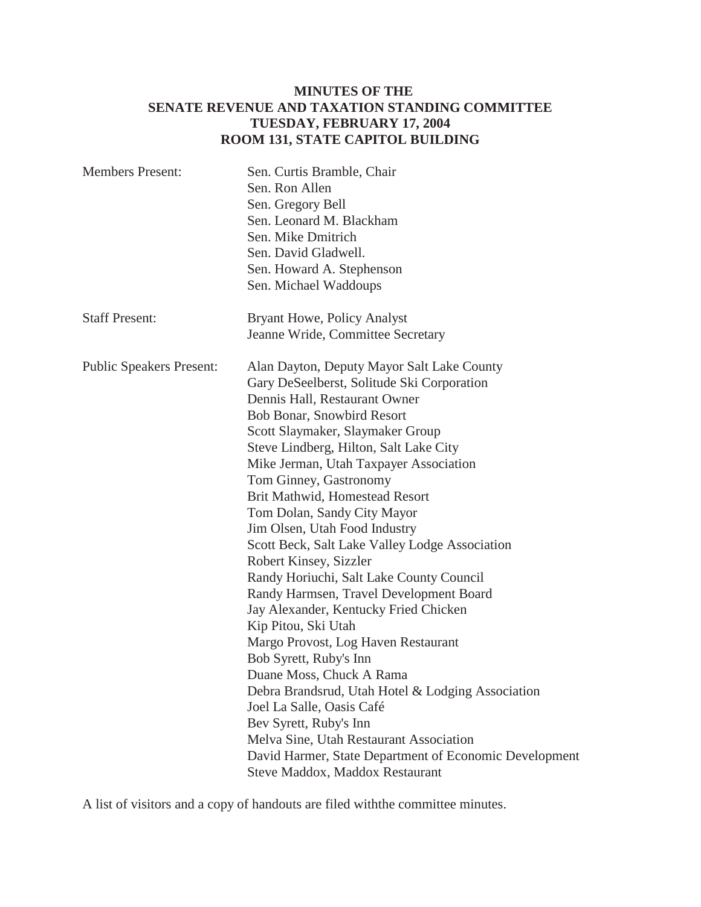# **MINUTES OF THE SENATE REVENUE AND TAXATION STANDING COMMITTEE TUESDAY, FEBRUARY 17, 2004 ROOM 131, STATE CAPITOL BUILDING**

| <b>Members Present:</b>         | Sen. Curtis Bramble, Chair                             |
|---------------------------------|--------------------------------------------------------|
|                                 | Sen. Ron Allen                                         |
|                                 | Sen. Gregory Bell                                      |
|                                 | Sen. Leonard M. Blackham                               |
|                                 | Sen. Mike Dmitrich                                     |
|                                 | Sen. David Gladwell.                                   |
|                                 | Sen. Howard A. Stephenson                              |
|                                 | Sen. Michael Waddoups                                  |
| <b>Staff Present:</b>           | <b>Bryant Howe, Policy Analyst</b>                     |
|                                 | Jeanne Wride, Committee Secretary                      |
| <b>Public Speakers Present:</b> | Alan Dayton, Deputy Mayor Salt Lake County             |
|                                 | Gary DeSeelberst, Solitude Ski Corporation             |
|                                 | Dennis Hall, Restaurant Owner                          |
|                                 | Bob Bonar, Snowbird Resort                             |
|                                 | Scott Slaymaker, Slaymaker Group                       |
|                                 | Steve Lindberg, Hilton, Salt Lake City                 |
|                                 | Mike Jerman, Utah Taxpayer Association                 |
|                                 | Tom Ginney, Gastronomy                                 |
|                                 | Brit Mathwid, Homestead Resort                         |
|                                 | Tom Dolan, Sandy City Mayor                            |
|                                 | Jim Olsen, Utah Food Industry                          |
|                                 | Scott Beck, Salt Lake Valley Lodge Association         |
|                                 | Robert Kinsey, Sizzler                                 |
|                                 | Randy Horiuchi, Salt Lake County Council               |
|                                 | Randy Harmsen, Travel Development Board                |
|                                 | Jay Alexander, Kentucky Fried Chicken                  |
|                                 | Kip Pitou, Ski Utah                                    |
|                                 | Margo Provost, Log Haven Restaurant                    |
|                                 | Bob Syrett, Ruby's Inn                                 |
|                                 | Duane Moss, Chuck A Rama                               |
|                                 | Debra Brandsrud, Utah Hotel & Lodging Association      |
|                                 | Joel La Salle, Oasis Café                              |
|                                 | Bev Syrett, Ruby's Inn                                 |
|                                 | Melva Sine, Utah Restaurant Association                |
|                                 | David Harmer, State Department of Economic Development |
|                                 | Steve Maddox, Maddox Restaurant                        |

A list of visitors and a copy of handouts are filed withthe committee minutes.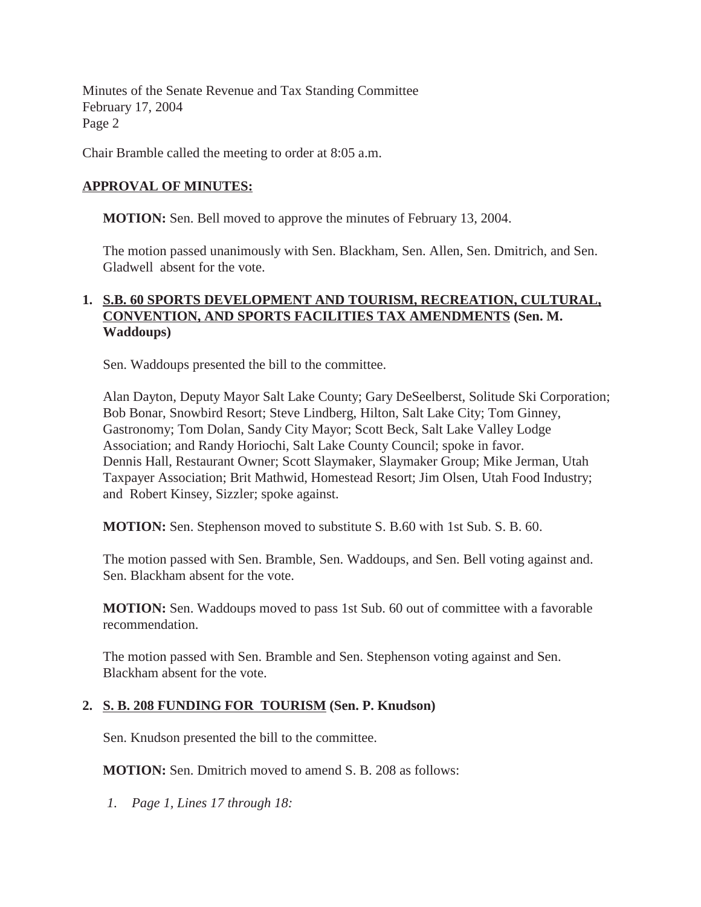Minutes of the Senate Revenue and Tax Standing Committee February 17, 2004 Page 2

Chair Bramble called the meeting to order at 8:05 a.m.

### **APPROVAL OF MINUTES:**

**MOTION:** Sen. Bell moved to approve the minutes of February 13, 2004.

The motion passed unanimously with Sen. Blackham, Sen. Allen, Sen. Dmitrich, and Sen. Gladwell absent for the vote.

## **1. S.B. 60 SPORTS DEVELOPMENT AND TOURISM, RECREATION, CULTURAL, CONVENTION, AND SPORTS FACILITIES TAX AMENDMENTS (Sen. M. Waddoups)**

Sen. Waddoups presented the bill to the committee.

Alan Dayton, Deputy Mayor Salt Lake County; Gary DeSeelberst, Solitude Ski Corporation; Bob Bonar, Snowbird Resort; Steve Lindberg, Hilton, Salt Lake City; Tom Ginney, Gastronomy; Tom Dolan, Sandy City Mayor; Scott Beck, Salt Lake Valley Lodge Association; and Randy Horiochi, Salt Lake County Council; spoke in favor. Dennis Hall, Restaurant Owner; Scott Slaymaker, Slaymaker Group; Mike Jerman, Utah Taxpayer Association; Brit Mathwid, Homestead Resort; Jim Olsen, Utah Food Industry; and Robert Kinsey, Sizzler; spoke against.

**MOTION:** Sen. Stephenson moved to substitute S. B.60 with 1st Sub. S. B. 60.

The motion passed with Sen. Bramble, Sen. Waddoups, and Sen. Bell voting against and. Sen. Blackham absent for the vote.

**MOTION:** Sen. Waddoups moved to pass 1st Sub. 60 out of committee with a favorable recommendation.

The motion passed with Sen. Bramble and Sen. Stephenson voting against and Sen. Blackham absent for the vote.

## **2. S. B. 208 FUNDING FOR TOURISM (Sen. P. Knudson)**

Sen. Knudson presented the bill to the committee.

**MOTION:** Sen. Dmitrich moved to amend S. B. 208 as follows:

*1. Page 1, Lines 17 through 18:*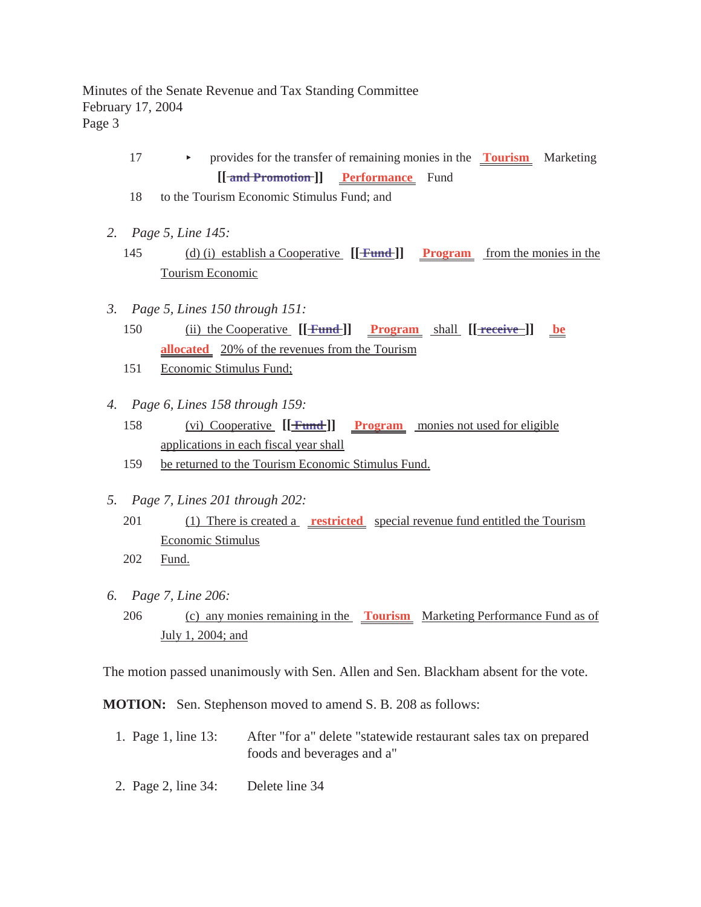#### Minutes of the Senate Revenue and Tax Standing Committee February 17, 2004 Page 3

- 17 < provides for the transfer of remaining monies in the **Tourism** Marketing **[[ and Promotion ]] Performance** Fund
- 18 to the Tourism Economic Stimulus Fund; and
- *2. Page 5, Line 145:*
	- 145 (d) (i) establish a Cooperative **[[ Fund ]] Program** from the monies in the Tourism Economic
- *3. Page 5, Lines 150 through 151:*
	- 150 (ii) the Cooperative  $[[$  **Fund**  $]]$  **Program** shall  $[[$  **receive**  $]]$  **be allocated** 20% of the revenues from the Tourism
	- 151 Economic Stimulus Fund;
- *4. Page 6, Lines 158 through 159:*
	- 158 (vi) Cooperative **[[ Fund ]] Program** monies not used for eligible applications in each fiscal year shall
	- 159 be returned to the Tourism Economic Stimulus Fund.
- *5. Page 7, Lines 201 through 202:*
	- 201 (1) There is created a **restricted** special revenue fund entitled the Tourism Economic Stimulus
	- 202 Fund.
- *6. Page 7, Line 206:*
	- 206 (c) any monies remaining in the **Tourism** Marketing Performance Fund as of July 1, 2004; and

The motion passed unanimously with Sen. Allen and Sen. Blackham absent for the vote.

**MOTION:** Sen. Stephenson moved to amend S. B. 208 as follows:

- 1. Page 1, line 13: After "for a" delete "statewide restaurant sales tax on prepared foods and beverages and a"
- 2. Page 2, line 34: Delete line 34